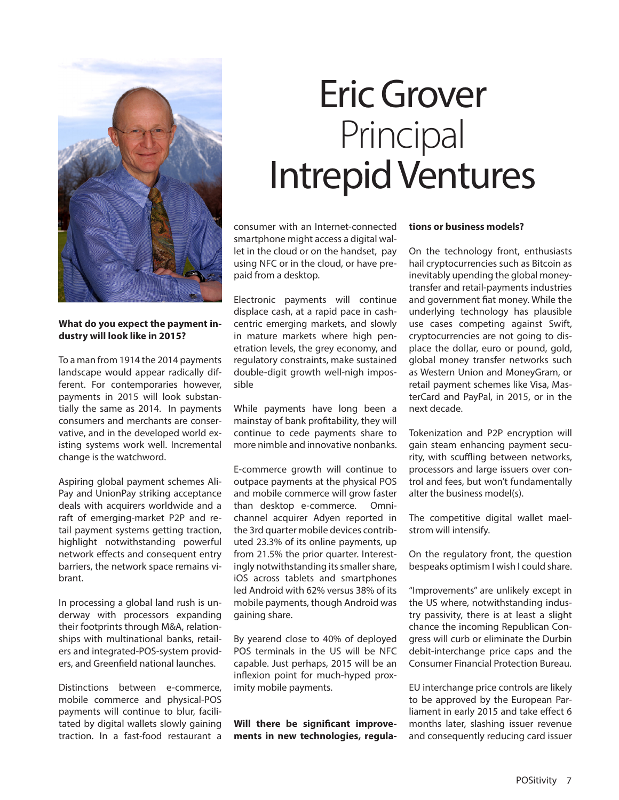

**What do you expect the payment industry will look like in 2015?** 

To a man from 1914 the 2014 payments landscape would appear radically different. For contemporaries however, payments in 2015 will look substantially the same as 2014. In payments consumers and merchants are conservative, and in the developed world existing systems work well. Incremental change is the watchword.

Aspiring global payment schemes Ali-Pay and UnionPay striking acceptance deals with acquirers worldwide and a raft of emerging-market P2P and retail payment systems getting traction, highlight notwithstanding powerful network effects and consequent entry barriers, the network space remains vibrant.

In processing a global land rush is underway with processors expanding their footprints through M&A, relationships with multinational banks, retailers and integrated-POS-system providers, and Greenfield national launches.

Distinctions between e-commerce, mobile commerce and physical-POS payments will continue to blur, facilitated by digital wallets slowly gaining traction. In a fast-food restaurant a

## Eric Grover Principal Intrepid Ventures

consumer with an Internet-connected smartphone might access a digital wallet in the cloud or on the handset, pay using NFC or in the cloud, or have prepaid from a desktop.

Electronic payments will continue displace cash, at a rapid pace in cashcentric emerging markets, and slowly in mature markets where high penetration levels, the grey economy, and regulatory constraints, make sustained double-digit growth well-nigh impossible

While payments have long been a mainstay of bank profitability, they will continue to cede payments share to more nimble and innovative nonbanks.

E-commerce growth will continue to outpace payments at the physical POS and mobile commerce will grow faster than desktop e-commerce. Omnichannel acquirer Adyen reported in the 3rd quarter mobile devices contributed 23.3% of its online payments, up from 21.5% the prior quarter. Interestingly notwithstanding its smaller share, iOS across tablets and smartphones led Android with 62% versus 38% of its mobile payments, though Android was gaining share.

By yearend close to 40% of deployed POS terminals in the US will be NFC capable. Just perhaps, 2015 will be an inflexion point for much-hyped proximity mobile payments.

**Will there be significant improvements in new technologies, regula-**

## **tions or business models?**

On the technology front, enthusiasts hail cryptocurrencies such as Bitcoin as inevitably upending the global moneytransfer and retail-payments industries and government fiat money. While the underlying technology has plausible use cases competing against Swift, cryptocurrencies are not going to displace the dollar, euro or pound, gold, global money transfer networks such as Western Union and MoneyGram, or retail payment schemes like Visa, MasterCard and PayPal, in 2015, or in the next decade.

Tokenization and P2P encryption will gain steam enhancing payment security, with scuffling between networks, processors and large issuers over control and fees, but won't fundamentally alter the business model(s).

The competitive digital wallet maelstrom will intensify.

On the regulatory front, the question bespeaks optimism I wish I could share.

"Improvements" are unlikely except in the US where, notwithstanding industry passivity, there is at least a slight chance the incoming Republican Congress will curb or eliminate the Durbin debit-interchange price caps and the Consumer Financial Protection Bureau.

EU interchange price controls are likely to be approved by the European Parliament in early 2015 and take effect 6 months later, slashing issuer revenue and consequently reducing card issuer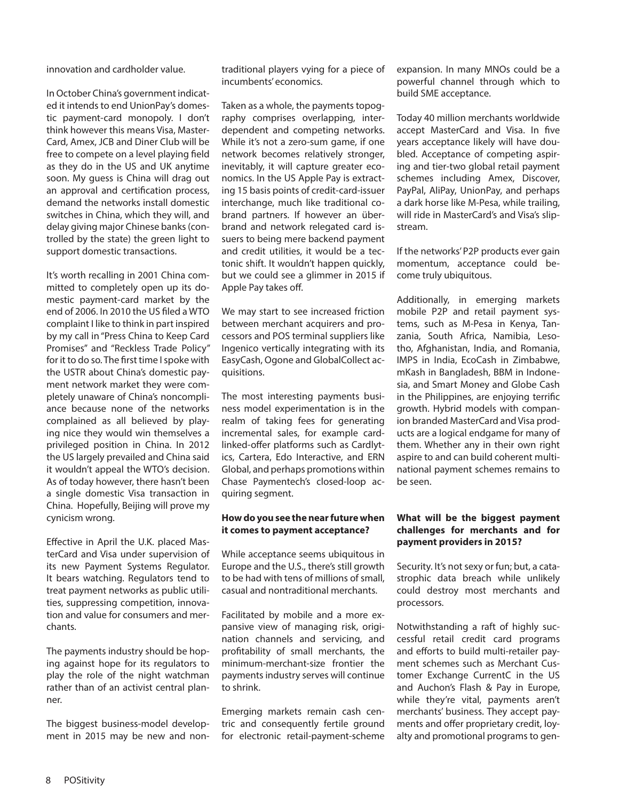innovation and cardholder value.

In October China's government indicated it intends to end UnionPay's domestic payment-card monopoly. I don't think however this means Visa, Master-Card, Amex, JCB and Diner Club will be free to compete on a level playing field as they do in the US and UK anytime soon. My guess is China will drag out an approval and certification process, demand the networks install domestic switches in China, which they will, and delay giving major Chinese banks (controlled by the state) the green light to support domestic transactions.

It's worth recalling in 2001 China committed to completely open up its domestic payment-card market by the end of 2006. In 2010 the US filed a WTO complaint I like to think in part inspired by my call in "Press China to Keep Card Promises" and "Reckless Trade Policy" for it to do so. The first time I spoke with the USTR about China's domestic payment network market they were completely unaware of China's noncompliance because none of the networks complained as all believed by playing nice they would win themselves a privileged position in China. In 2012 the US largely prevailed and China said it wouldn't appeal the WTO's decision. As of today however, there hasn't been a single domestic Visa transaction in China. Hopefully, Beijing will prove my cynicism wrong.

Effective in April the U.K. placed MasterCard and Visa under supervision of its new Payment Systems Regulator. It bears watching. Regulators tend to treat payment networks as public utilities, suppressing competition, innovation and value for consumers and merchants.

The payments industry should be hoping against hope for its regulators to play the role of the night watchman rather than of an activist central planner.

The biggest business-model development in 2015 may be new and nontraditional players vying for a piece of incumbents' economics.

Taken as a whole, the payments topography comprises overlapping, interdependent and competing networks. While it's not a zero-sum game, if one network becomes relatively stronger, inevitably, it will capture greater economics. In the US Apple Pay is extracting 15 basis points of credit-card-issuer interchange, much like traditional cobrand partners. If however an überbrand and network relegated card issuers to being mere backend payment and credit utilities, it would be a tectonic shift. It wouldn't happen quickly, but we could see a glimmer in 2015 if Apple Pay takes off.

We may start to see increased friction between merchant acquirers and processors and POS terminal suppliers like Ingenico vertically integrating with its EasyCash, Ogone and GlobalCollect acquisitions.

The most interesting payments business model experimentation is in the realm of taking fees for generating incremental sales, for example cardlinked-offer platforms such as Cardlytics, Cartera, Edo Interactive, and ERN Global, and perhaps promotions within Chase Paymentech's closed-loop acquiring segment.

## **How do you see the near future when it comes to payment acceptance?**

While acceptance seems ubiquitous in Europe and the U.S., there's still growth to be had with tens of millions of small, casual and nontraditional merchants.

Facilitated by mobile and a more expansive view of managing risk, origination channels and servicing, and profitability of small merchants, the minimum-merchant-size frontier the payments industry serves will continue to shrink.

Emerging markets remain cash centric and consequently fertile ground for electronic retail-payment-scheme expansion. In many MNOs could be a powerful channel through which to build SME acceptance.

Today 40 million merchants worldwide accept MasterCard and Visa. In five years acceptance likely will have doubled. Acceptance of competing aspiring and tier-two global retail payment schemes including Amex, Discover, PayPal, AliPay, UnionPay, and perhaps a dark horse like M-Pesa, while trailing, will ride in MasterCard's and Visa's slipstream.

If the networks' P2P products ever gain momentum, acceptance could become truly ubiquitous.

Additionally, in emerging markets mobile P2P and retail payment systems, such as M-Pesa in Kenya, Tanzania, South Africa, Namibia, Lesotho, Afghanistan, India, and Romania, IMPS in India, EcoCash in Zimbabwe, mKash in Bangladesh, BBM in Indonesia, and Smart Money and Globe Cash in the Philippines, are enjoying terrific growth. Hybrid models with companion branded MasterCard and Visa products are a logical endgame for many of them. Whether any in their own right aspire to and can build coherent multinational payment schemes remains to be seen.

## **What will be the biggest payment challenges for merchants and for payment providers in 2015?**

Security. It's not sexy or fun; but, a catastrophic data breach while unlikely could destroy most merchants and processors.

Notwithstanding a raft of highly successful retail credit card programs and efforts to build multi-retailer payment schemes such as Merchant Customer Exchange CurrentC in the US and Auchon's Flash & Pay in Europe, while they're vital, payments aren't merchants' business. They accept payments and offer proprietary credit, loyalty and promotional programs to gen